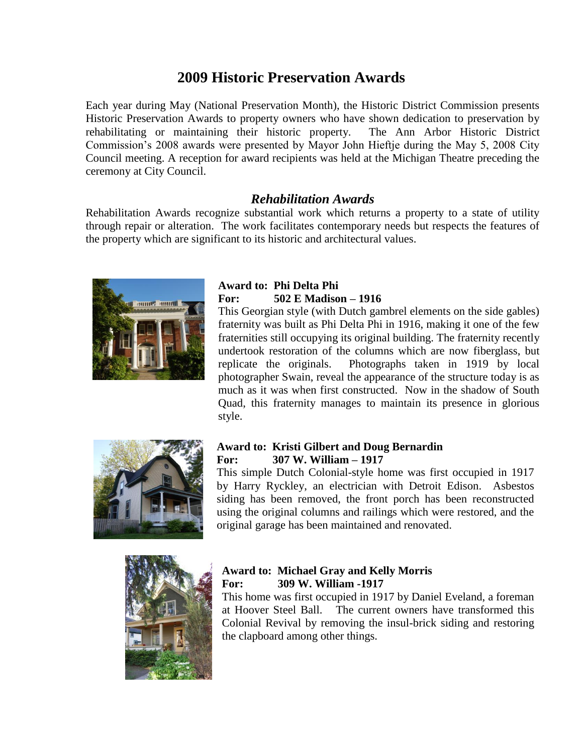# **2009 Historic Preservation Awards**

Each year during May (National Preservation Month), the Historic District Commission presents Historic Preservation Awards to property owners who have shown dedication to preservation by rehabilitating or maintaining their historic property. The Ann Arbor Historic District Commission's 2008 awards were presented by Mayor John Hieftje during the May 5, 2008 City Council meeting. A reception for award recipients was held at the Michigan Theatre preceding the ceremony at City Council.

## *Rehabilitation Awards*

Rehabilitation Awards recognize substantial work which returns a property to a state of utility through repair or alteration. The work facilitates contemporary needs but respects the features of the property which are significant to its historic and architectural values.



### **Award to: Phi Delta Phi For: 502 E Madison – 1916**

This Georgian style (with Dutch gambrel elements on the side gables) fraternity was built as Phi Delta Phi in 1916, making it one of the few fraternities still occupying its original building. The fraternity recently undertook restoration of the columns which are now fiberglass, but replicate the originals. Photographs taken in 1919 by local photographer Swain, reveal the appearance of the structure today is as much as it was when first constructed. Now in the shadow of South Quad, this fraternity manages to maintain its presence in glorious style.



### **Award to: Kristi Gilbert and Doug Bernardin For: 307 W. William – 1917**

This simple Dutch Colonial-style home was first occupied in 1917 by Harry Ryckley, an electrician with Detroit Edison. Asbestos siding has been removed, the front porch has been reconstructed using the original columns and railings which were restored, and the original garage has been maintained and renovated.



### **Award to: Michael Gray and Kelly Morris For: 309 W. William -1917**

This home was first occupied in 1917 by Daniel Eveland, a foreman at Hoover Steel Ball. The current owners have transformed this Colonial Revival by removing the insul-brick siding and restoring the clapboard among other things.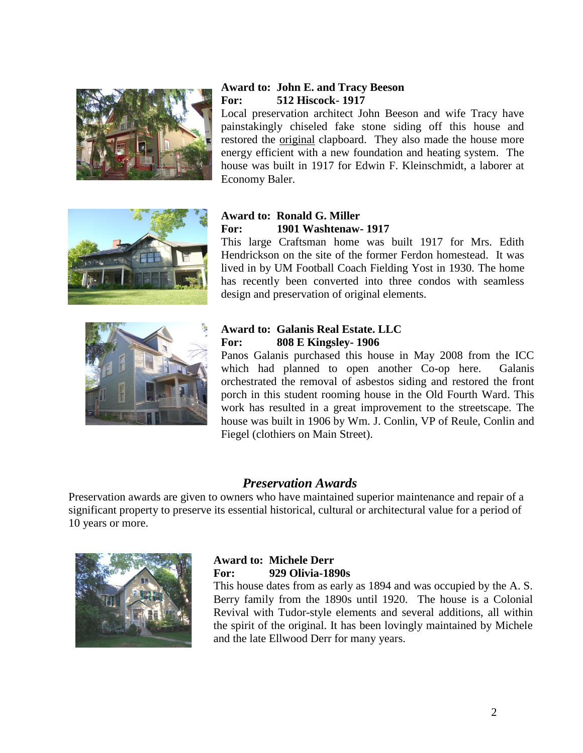

### **Award to: John E. and Tracy Beeson For: 512 Hiscock- 1917**

Local preservation architect John Beeson and wife Tracy have painstakingly chiseled fake stone siding off this house and restored the original clapboard. They also made the house more energy efficient with a new foundation and heating system. The house was built in 1917 for Edwin F. Kleinschmidt, a laborer at Economy Baler.



### **Award to: Ronald G. Miller For: 1901 Washtenaw- 1917**

This large Craftsman home was built 1917 for Mrs. Edith Hendrickson on the site of the former Ferdon homestead. It was lived in by UM Football Coach Fielding Yost in 1930. The home has recently been converted into three condos with seamless design and preservation of original elements.



### **Award to: Galanis Real Estate. LLC For: 808 E Kingsley- 1906**

Panos Galanis purchased this house in May 2008 from the ICC which had planned to open another Co-op here. Galanis orchestrated the removal of asbestos siding and restored the front porch in this student rooming house in the Old Fourth Ward. This work has resulted in a great improvement to the streetscape. The house was built in 1906 by Wm. J. Conlin, VP of Reule, Conlin and Fiegel (clothiers on Main Street).

## *Preservation Awards*

Preservation awards are given to owners who have maintained superior maintenance and repair of a significant property to preserve its essential historical, cultural or architectural value for a period of 10 years or more.



### **Award to: Michele Derr For: 929 Olivia-1890s**

This house dates from as early as 1894 and was occupied by the A. S. Berry family from the 1890s until 1920. The house is a Colonial Revival with Tudor-style elements and several additions, all within the spirit of the original. It has been lovingly maintained by Michele and the late Ellwood Derr for many years.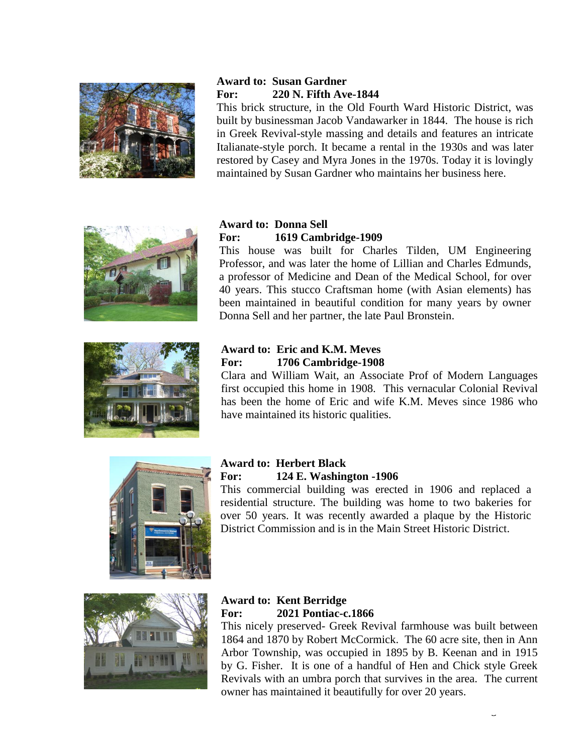

## **Award to: Susan Gardner For: 220 N. Fifth Ave-1844**

This brick structure, in the Old Fourth Ward Historic District, was built by businessman Jacob Vandawarker in 1844. The house is rich in Greek Revival-style massing and details and features an intricate Italianate-style porch. It became a rental in the 1930s and was later restored by Casey and Myra Jones in the 1970s. Today it is lovingly maintained by Susan Gardner who maintains her business here.





#### **Award to: Donna Sell For: 1619 Cambridge-1909**

This house was built for Charles Tilden, UM Engineering Professor, and was later the home of Lillian and Charles Edmunds, a professor of Medicine and Dean of the Medical School, for over 40 years. This stucco Craftsman home (with Asian elements) has been maintained in beautiful condition for many years by owner Donna Sell and her partner, the late Paul Bronstein.

## **Award to: Eric and K.M. Meves For: 1706 Cambridge-1908**

Clara and William Wait, an Associate Prof of Modern Languages first occupied this home in 1908. This vernacular Colonial Revival has been the home of Eric and wife K.M. Meves since 1986 who have maintained its historic qualities.



#### **Award to: Herbert Black For: 124 E. Washington -1906**

This commercial building was erected in 1906 and replaced a residential structure. The building was home to two bakeries for over 50 years. It was recently awarded a plaque by the Historic District Commission and is in the Main Street Historic District.



### **Award to: Kent Berridge For: 2021 Pontiac-c.1866**

This nicely preserved- Greek Revival farmhouse was built between 1864 and 1870 by Robert McCormick. The 60 acre site, then in Ann Arbor Township, was occupied in 1895 by B. Keenan and in 1915 by G. Fisher. It is one of a handful of Hen and Chick style Greek Revivals with an umbra porch that survives in the area. The current owner has maintained it beautifully for over 20 years.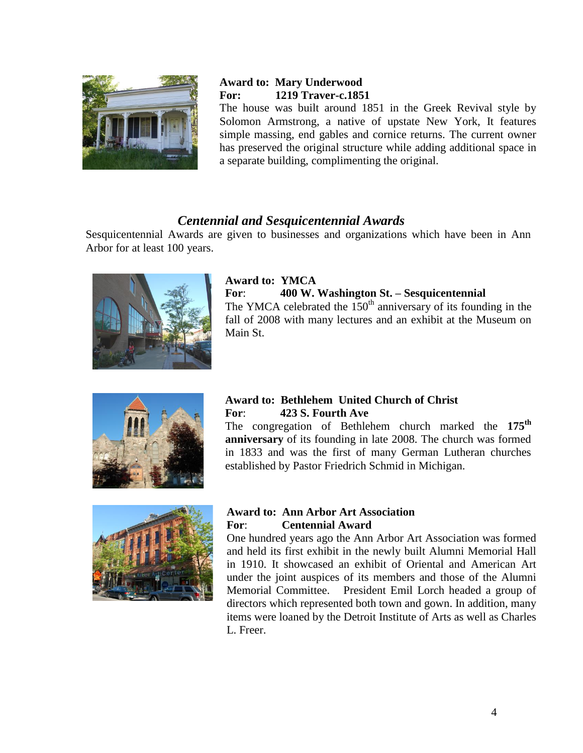

## **Award to: Mary Underwood For: 1219 Traver-c.1851**

The house was built around 1851 in the Greek Revival style by Solomon Armstrong, a native of upstate New York, It features simple massing, end gables and cornice returns. The current owner has preserved the original structure while adding additional space in a separate building, complimenting the original.

## *Centennial and Sesquicentennial Awards*

Sesquicentennial Awards are given to businesses and organizations which have been in Ann Arbor for at least 100 years.



## **Award to: YMCA**

#### **For**: **400 W. Washington St. – Sesquicentennial**

The YMCA celebrated the  $150<sup>th</sup>$  anniversary of its founding in the fall of 2008 with many lectures and an exhibit at the Museum on Main St.



### **Award to: Bethlehem United Church of Christ For**: **423 S. Fourth Ave**

The congregation of Bethlehem church marked the **175th anniversary** of its founding in late 2008. The church was formed in 1833 and was the first of many German Lutheran churches established by Pastor Friedrich Schmid in Michigan.



### **Award to: Ann Arbor Art Association For**: **Centennial Award**

One hundred years ago the Ann Arbor Art Association was formed and held its first exhibit in the newly built Alumni Memorial Hall in 1910. It showcased an exhibit of Oriental and American Art under the joint auspices of its members and those of the Alumni Memorial Committee. President Emil Lorch headed a group of directors which represented both town and gown. In addition, many items were loaned by the Detroit Institute of Arts as well as Charles L. Freer.